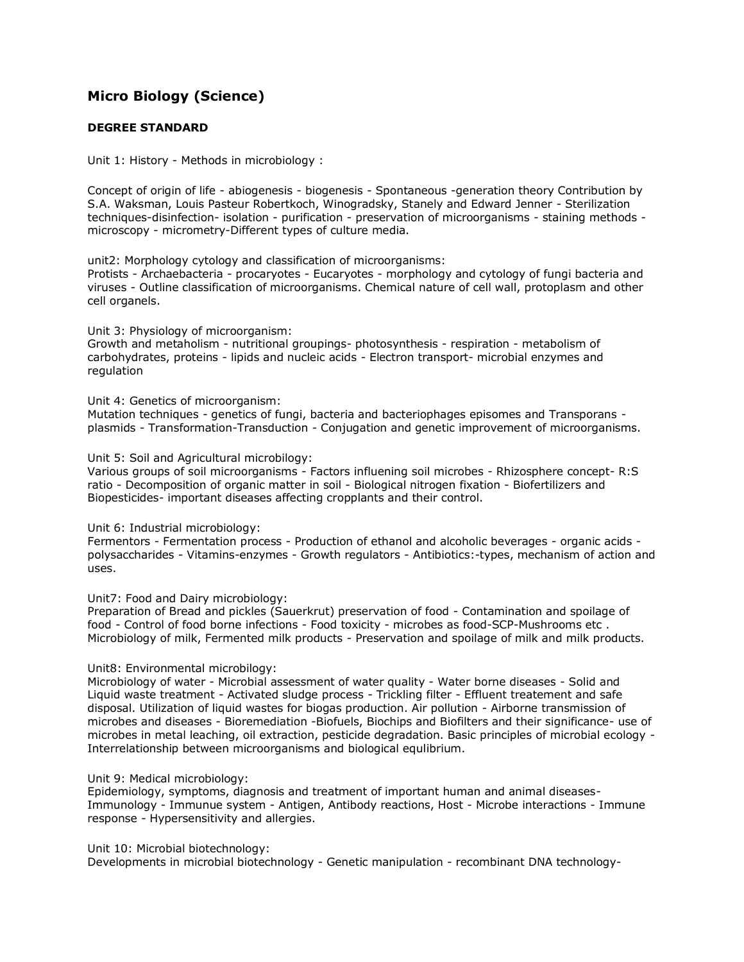## **[Micro Biology \(Science\)](http://www.tnpsc.gov.in/microbio.htm)**

## **DEGREE STANDARD**

Unit 1: History - Methods in microbiology :

Concept of origin of life - abiogenesis - biogenesis - Spontaneous -generation theory Contribution by S.A. Waksman, Louis Pasteur Robertkoch, Winogradsky, Stanely and Edward Jenner - Sterilization techniques-disinfection- isolation - purification - preservation of microorganisms - staining methods microscopy - micrometry-Different types of culture media.

unit2: Morphology cytology and classification of microorganisms: Protists - Archaebacteria - procaryotes - Eucaryotes - morphology and cytology of fungi bacteria and viruses - Outline classification of microorganisms. Chemical nature of cell wall, protoplasm and other cell organels.

Unit 3: Physiology of microorganism:

Growth and metaholism - nutritional groupings- photosynthesis - respiration - metabolism of carbohydrates, proteins - lipids and nucleic acids - Electron transport- microbial enzymes and regulation

Unit 4: Genetics of microorganism:

Mutation techniques - genetics of fungi, bacteria and bacteriophages episomes and Transporans plasmids - Transformation-Transduction - Conjugation and genetic improvement of microorganisms.

Unit 5: Soil and Agricultural microbilogy:

Various groups of soil microorganisms - Factors influening soil microbes - Rhizosphere concept- R:S ratio - Decomposition of organic matter in soil - Biological nitrogen fixation - Biofertilizers and Biopesticides- important diseases affecting cropplants and their control.

Unit 6: Industrial microbiology:

Fermentors - Fermentation process - Production of ethanol and alcoholic beverages - organic acids polysaccharides - Vitamins-enzymes - Growth regulators - Antibiotics:-types, mechanism of action and uses.

Unit7: Food and Dairy microbiology:

Preparation of Bread and pickles (Sauerkrut) preservation of food - Contamination and spoilage of food - Control of food borne infections - Food toxicity - microbes as food-SCP-Mushrooms etc . Microbiology of milk, Fermented milk products - Preservation and spoilage of milk and milk products.

Unit8: Environmental microbilogy:

Microbiology of water - Microbial assessment of water quality - Water borne diseases - Solid and Liquid waste treatment - Activated sludge process - Trickling filter - Effluent treatement and safe disposal. Utilization of liquid wastes for biogas production. Air pollution - Airborne transmission of microbes and diseases - Bioremediation -Biofuels, Biochips and Biofilters and their significance- use of microbes in metal leaching, oil extraction, pesticide degradation. Basic principles of microbial ecology - Interrelationship between microorganisms and biological equlibrium.

## Unit 9: Medical microbiology:

Epidemiology, symptoms, diagnosis and treatment of important human and animal diseases-Immunology - Immunue system - Antigen, Antibody reactions, Host - Microbe interactions - Immune response - Hypersensitivity and allergies.

Unit 10: Microbial biotechnology:

Developments in microbial biotechnology - Genetic manipulation - recombinant DNA technology-